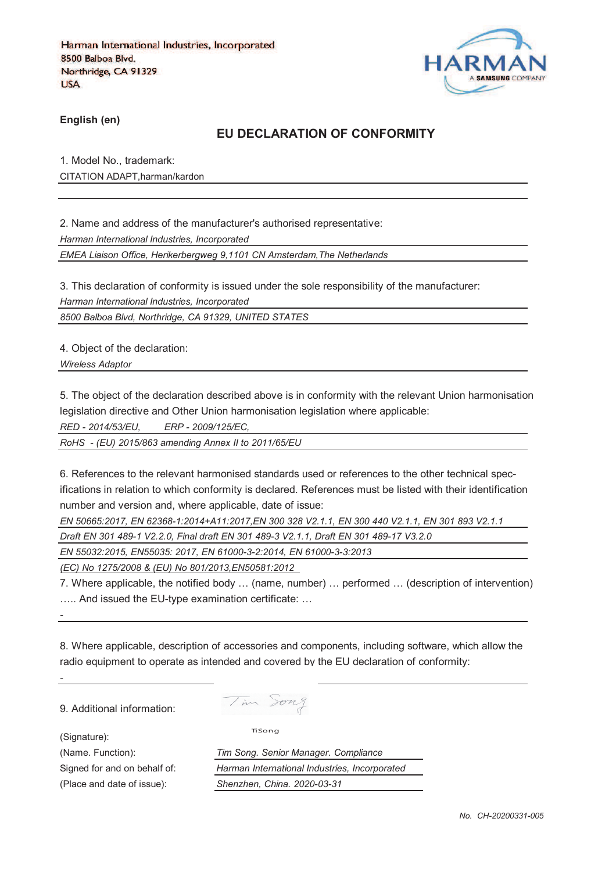

**English (en)**

## **EU DECLARATION OF CONFORMITY**

1. Model No., trademark: CITATION ADAPT,harman/kardon

2. Name and address of the manufacturer's authorised representative:

*Harman International Industries, Incorporated*

*EMEA Liaison Office, Herikerbergweg 9,1101 CN Amsterdam,The Netherlands*

3. This declaration of conformity is issued under the sole responsibility of the manufacturer: *Harman International Industries, Incorporated*

*8500 Balboa Blvd, Northridge, CA 91329, UNITED STATES*

4. Object of the declaration:

*Wireless Adaptor* 

5. The object of the declaration described above is in conformity with the relevant Union harmonisation legislation directive and Other Union harmonisation legislation where applicable:

*RED - 2014/53/EU, ERP - 2009/125/EC,*

*RoHS - (EU) 2015/863 amending Annex II to 2011/65/EU*

6. References to the relevant harmonised standards used or references to the other technical specifications in relation to which conformity is declared. References must be listed with their identification number and version and, where applicable, date of issue:

*EN 50665:2017, EN 62368-1:2014+A11:2017,EN 300 328 V2.1.1, EN 300 440 V2.1.1, EN 301 893 V2.1.1* 

*Draft EN 301 489-1 V2.2.0, Final draft EN 301 489-3 V2.1.1, Draft EN 301 489-17 V3.2.0*

*EN 55032:2015, EN55035: 2017, EN 61000-3-2:2014, EN 61000-3-3:2013*

*(EC) No 1275/2008 & (EU) No 801/2013,EN50581:2012* 

7. Where applicable, the notified body … (name, number) … performed … (description of intervention) ….. And issued the EU-type examination certificate: …

8. Where applicable, description of accessories and components, including software, which allow the radio equipment to operate as intended and covered by the EU declaration of conformity:

9. Additional information:

(Signature):

*-*

*-*

Tim Song

TiSong

(Name. Function): *Tim Song. Senior Manager. Compliance* Signed for and on behalf of: *Harman International Industries, Incorporated* (Place and date of issue): *Shenzhen, China. 2020-03-31*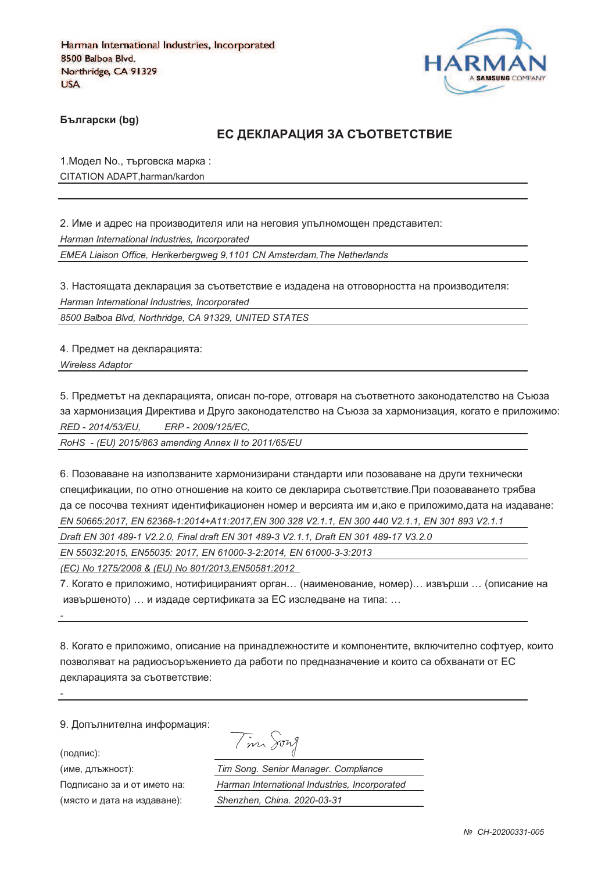

**Български (bg)** 

### ЕС ДЕКЛАРАЦИЯ ЗА СЪОТВЕТСТВИЕ

1. Модел No., търговска марка: CITATION ADAPT,harman/kardon

2. Име и адрес на производителя или на неговия упълномощен представител: *Harman International Industries, Incorporated EMEA Liaison Office, Herikerbergweg 9,1101 CN Amsterdam,The Netherlands*

3. Настоящата декларация за съответствие е издадена на отговорността на производителя: *Harman International Industries, Incorporated*

*8500 Balboa Blvd, Northridge, CA 91329, UNITED STATES*

4. Предмет на декларацията:

*Wireless Adaptor* 

5. Предметът на декларацията, описан по-горе, отговаря на съответното законодателство на Съюза за хармонизация Директива и Друго законодателство на Съюза за хармонизация, когато е приложимо: *RED - 2014/53/EU, ERP - 2009/125/EC,*

*RoHS - (EU) 2015/863 amending Annex II to 2011/65/EU*

6. Позоваване на използваните хармонизирани стандарти или позоваване на други технически спецификации, по отно отношение на които се декларира съответствие.При позоваването трябва да се посочва техният идентификационен номер и версията им и,ако е приложимо,дата на издаване: *EN 50665:2017, EN 62368-1:2014+A11:2017,EN 300 328 V2.1.1, EN 300 440 V2.1.1, EN 301 893 V2.1.1 Draft EN 301 489-1 V2.2.0, Final draft EN 301 489-3 V2.1.1, Draft EN 301 489-17 V3.2.0*

*EN 55032:2015, EN55035: 2017, EN 61000-3-2:2014, EN 61000-3-3:2013*

*(EC) No 1275/2008 & (EU) No 801/2013,EN50581:2012* 

7. Когато е приложимо, нотифицираният орган… (наименование, номер)… извърши … (описание на извършеното) … и издаде сертификата за ЕС изследване на типа: …

8. Когато е приложимо, описание на принадлежностите и компонентите, включително софтуер, които позволяват на радиосъоръжението да работи по предназначение и които са обхванати от ЕС декларацията за съответствие:

9. Допълнителна информация:

(подпис):

*-*

*-*

(име, длъжност):

Подписано за и от името (място и дата на издав

Tim Song

): *Tim Song. Senior Manager. Compliance* : *Harman International Industries, Incorporated* ): *Shenzhen, China. 2020-03-31*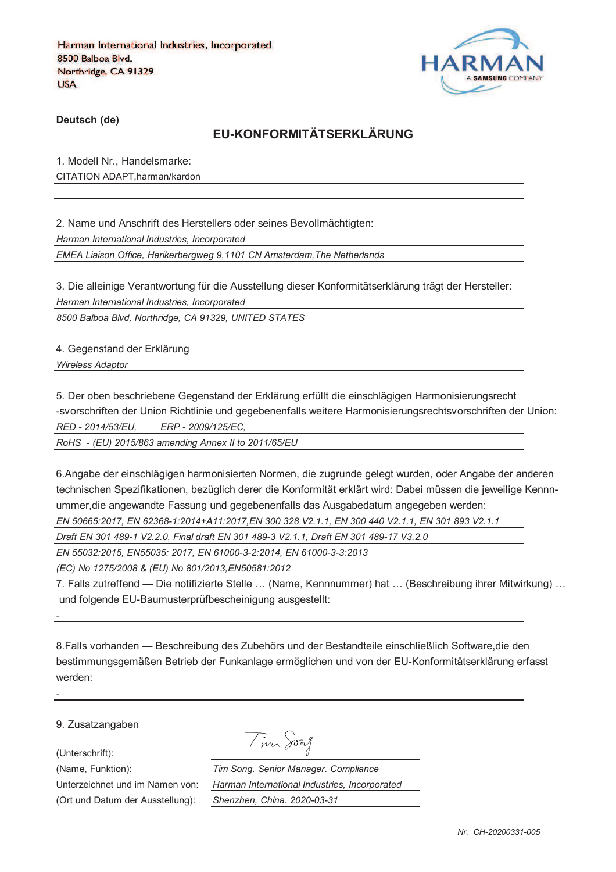

**Deutsch (de)**

## **EU-KONFORMITÄTSERKLÄRUNG**

1. Modell Nr., Handelsmarke: CITATION ADAPT,harman/kardon

2. Name und Anschrift des Herstellers oder seines Bevollmächtigten: *Harman International Industries, Incorporated EMEA Liaison Office, Herikerbergweg 9,1101 CN Amsterdam,The Netherlands*

3. Die alleinige Verantwortung für die Ausstellung dieser Konformitätserklärung trägt der Hersteller: *Harman International Industries, Incorporated*

*8500 Balboa Blvd, Northridge, CA 91329, UNITED STATES*

4. Gegenstand der Erklärung

*Wireless Adaptor* 

5. Der oben beschriebene Gegenstand der Erklärung erfüllt die einschlägigen Harmonisierungsrecht -svorschriften der Union Richtlinie und gegebenenfalls weitere Harmonisierungsrechtsvorschriften der Union: *RED - 2014/53/EU, ERP - 2009/125/EC,*

*RoHS - (EU) 2015/863 amending Annex II to 2011/65/EU*

6.Angabe der einschlägigen harmonisierten Normen, die zugrunde gelegt wurden, oder Angabe der anderen technischen Spezifikationen, bezüglich derer die Konformität erklärt wird: Dabei müssen die jeweilige Kennnummer,die angewandte Fassung und gegebenenfalls das Ausgabedatum angegeben werden:

*EN 50665:2017, EN 62368-1:2014+A11:2017,EN 300 328 V2.1.1, EN 300 440 V2.1.1, EN 301 893 V2.1.1* 

*Draft EN 301 489-1 V2.2.0, Final draft EN 301 489-3 V2.1.1, Draft EN 301 489-17 V3.2.0*

*EN 55032:2015, EN55035: 2017, EN 61000-3-2:2014, EN 61000-3-3:2013*

*(EC) No 1275/2008 & (EU) No 801/2013,EN50581:2012* 

7. Falls zutreffend — Die notifizierte Stelle … (Name, Kennnummer) hat … (Beschreibung ihrer Mitwirkung) … und folgende EU-Baumusterprüfbescheinigung ausgestellt:

8.Falls vorhanden — Beschreibung des Zubehörs und der Bestandteile einschließlich Software,die den bestimmungsgemäßen Betrieb der Funkanlage ermöglichen und von der EU-Konformitätserklärung erfasst werden:

9. Zusatzangaben

(Unterschrift):

*-*

*-*

Tim Song

(Name, Funktion): *Tim Song. Senior Manager. Compliance* Unterzeichnet und im Namen von: *Harman International Industries, Incorporated* (Ort und Datum der Ausstellung): *Shenzhen, China. 2020-03-31*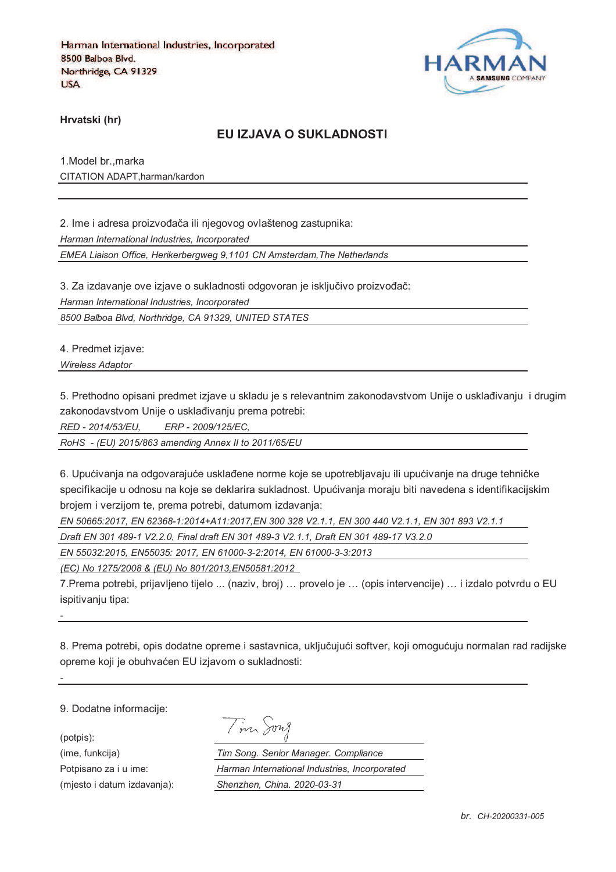

**Hrvatski (hr)**

### **EU IZJAVA O SUKLADNOSTI**

1.Model br.,marka CITATION ADAPT,harman/kardon

2. Ime i adresa proizvođača ili njegovog ovlaštenog zastupnika: *Harman International Industries, Incorporated EMEA Liaison Office, Herikerbergweg 9,1101 CN Amsterdam,The Netherlands*

3. Za izdavanje ove izjave o sukladnosti odgovoran je isključivo proizvođač:

*Harman International Industries, Incorporated*

*8500 Balboa Blvd, Northridge, CA 91329, UNITED STATES*

4. Predmet izjave:

*Wireless Adaptor* 

5. Prethodno opisani predmet izjave u skladu je s relevantnim zakonodavstvom Unije o usklađivanju i drugim zakonodavstvom Unije o usklađivanju prema potrebi:

*RED - 2014/53/EU, ERP - 2009/125/EC,*

*RoHS - (EU) 2015/863 amending Annex II to 2011/65/EU*

6. Upućivanja na odgovarajuće usklađene norme koje se upotrebljavaju ili upućivanje na druge tehničke specifikacije u odnosu na koje se deklarira sukladnost. Upućivanja moraju biti navedena s identifikacijskim brojem i verzijom te, prema potrebi, datumom izdavanja:

*EN 50665:2017, EN 62368-1:2014+A11:2017,EN 300 328 V2.1.1, EN 300 440 V2.1.1, EN 301 893 V2.1.1* 

*Draft EN 301 489-1 V2.2.0, Final draft EN 301 489-3 V2.1.1, Draft EN 301 489-17 V3.2.0*

*EN 55032:2015, EN55035: 2017, EN 61000-3-2:2014, EN 61000-3-3:2013*

*(EC) No 1275/2008 & (EU) No 801/2013,EN50581:2012* 

7.Prema potrebi, prijavljeno tijelo ... (naziv, broj) … provelo je … (opis intervencije) … i izdalo potvrdu o EU ispitivaniu tipa:

8. Prema potrebi, opis dodatne opreme i sastavnica, uključujući softver, koji omogućuju normalan rad radijske opreme koji je obuhvaćen EU izjavom o sukladnosti:

9. Dodatne informacije:

*-*

*-*

(potpis):

|  | vn I<br>7 |
|--|-----------|
|  |           |

(ime, funkcija) *Tim Song. Senior Manager. Compliance* Potpisano za i u ime: *Harman International Industries, Incorporated* (mjesto i datum izdavanja): *Shenzhen, China. 2020-03-31*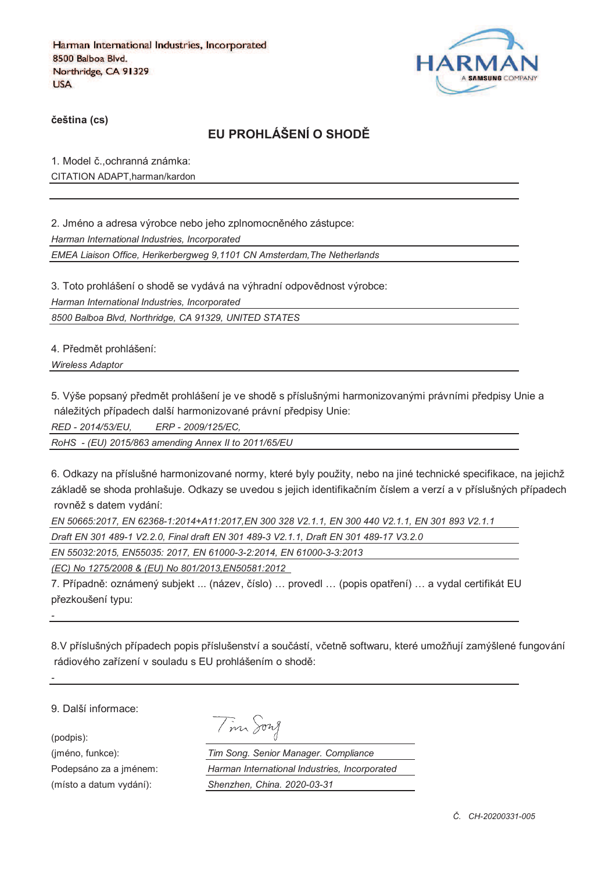

**%eština (cs)**

# **EU PROHLÁŠENÍ O SHOD&**

1. Model č., ochranná známka: CITATION ADAPT,harman/kardon

2. Jméno a adresa výrobce nebo jeho zplnomocněného zástupce: *Harman International Industries, Incorporated*

*EMEA Liaison Office, Herikerbergweg 9,1101 CN Amsterdam,The Netherlands*

3. Toto prohlášení o shodě se vydává na výhradní odpovědnost výrobce:

*Harman International Industries, Incorporated*

*8500 Balboa Blvd, Northridge, CA 91329, UNITED STATES*

4. Předmět prohlášení:

*Wireless Adaptor* 

5. Výše popsaný předmět prohlášení je ve shodě s příslušnými harmonizovanými právními předpisy Unie a náležitých případech další harmonizované právní předpisy Unie:

*RED - 2014/53/EU, ERP - 2009/125/EC,*

*RoHS - (EU) 2015/863 amending Annex II to 2011/65/EU*

6. Odkazy na příslušné harmonizované normy, které byly použity, nebo na jiné technické specifikace, na jejichž základě se shoda prohlašuje. Odkazy se uvedou s jejich identifikačním číslem a verzí a v příslušných případech rovněž s datem vydání:

*EN 50665:2017, EN 62368-1:2014+A11:2017,EN 300 328 V2.1.1, EN 300 440 V2.1.1, EN 301 893 V2.1.1* 

*Draft EN 301 489-1 V2.2.0, Final draft EN 301 489-3 V2.1.1, Draft EN 301 489-17 V3.2.0*

*EN 55032:2015, EN55035: 2017, EN 61000-3-2:2014, EN 61000-3-3:2013*

*(EC) No 1275/2008 & (EU) No 801/2013,EN50581:2012* 

7. Případně: oznámený subjekt ... (název, číslo) ... provedl ... (popis opatření) ... a vydal certifikát EU přezkoušení typu:

8.V příslušných případech popis příslušenství a součástí, včetně softwaru, které umožňují zamýšlené fungování rádiového zařízení v souladu s EU prohlášením o shodě:

9. Další informace:

(podpis):

*-*

*-*

(jméno, funkce): *Tim Song. Senior Manager. Compliance* Podepsáno za a jménem: *Harman International Industries, Incorporated* (místo a datum vydání): *Shenzhen, China. 2020-03-31*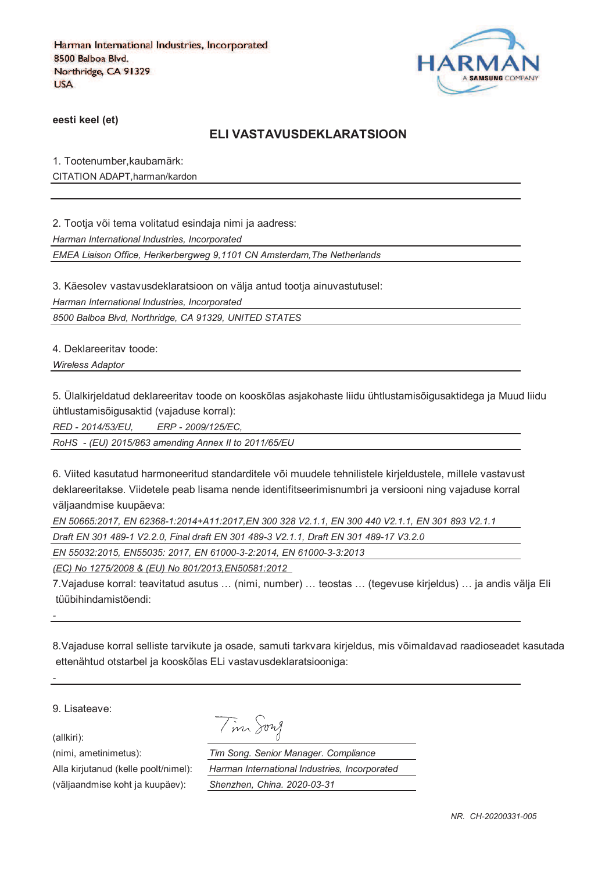

**eesti keel (et)**

#### **ELI VASTAVUSDEKLARATSIOON**

1. Tootenumber,kaubamärk:

CITATION ADAPT,harman/kardon

2. Tootja või tema volitatud esindaja nimi ja aadress:

*Harman International Industries, Incorporated*

*EMEA Liaison Office, Herikerbergweg 9,1101 CN Amsterdam,The Netherlands*

3. Käesolev vastavusdeklaratsioon on välja antud tootja ainuvastutusel:

*Harman International Industries, Incorporated*

*8500 Balboa Blvd, Northridge, CA 91329, UNITED STATES*

4. Deklareeritav toode:

*Wireless Adaptor* 

5. Ülalkirjeldatud deklareeritav toode on kooskõlas asjakohaste liidu ühtlustamisõigusaktidega ja Muud liidu ühtlustamisõigusaktid (vajaduse korral):

*RED - 2014/53/EU, ERP - 2009/125/EC,*

*RoHS - (EU) 2015/863 amending Annex II to 2011/65/EU*

6. Viited kasutatud harmoneeritud standarditele või muudele tehnilistele kirjeldustele, millele vastavust deklareeritakse. Viidetele peab lisama nende identifitseerimisnumbri ja versiooni ning vajaduse korral väljaandmise kuupäeva:

*EN 50665:2017, EN 62368-1:2014+A11:2017,EN 300 328 V2.1.1, EN 300 440 V2.1.1, EN 301 893 V2.1.1* 

*Draft EN 301 489-1 V2.2.0, Final draft EN 301 489-3 V2.1.1, Draft EN 301 489-17 V3.2.0*

Tim Song

*EN 55032:2015, EN55035: 2017, EN 61000-3-2:2014, EN 61000-3-3:2013*

*(EC) No 1275/2008 & (EU) No 801/2013,EN50581:2012* 

7.Vajaduse korral: teavitatud asutus … (nimi, number) … teostas … (tegevuse kirjeldus) … ja andis välja Eli tüübihindamistõendi:

8.Vajaduse korral selliste tarvikute ja osade, samuti tarkvara kirjeldus, mis võimaldavad raadioseadet kasutada ettenähtud otstarbel ja kooskõlas ELi vastavusdeklaratsiooniga:

9. Lisateave:

(allkiri):

*-*

*-*

(nimi, ametinimetus): *Tim Song. Senior Manager. Compliance* Alla kirjutanud (kelle poolt/nimel): *Harman International Industries, Incorporated* (väljaandmise koht ja kuupäev): *Shenzhen, China. 2020-03-31*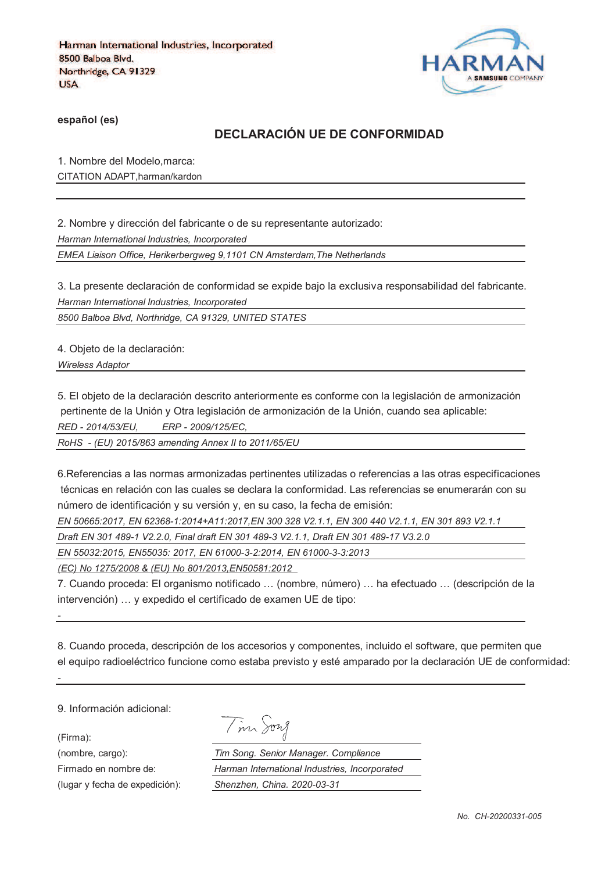

**español (es)**

## **DECLARACIÓN UE DE CONFORMIDAD**

1. Nombre del Modelo,marca: CITATION ADAPT,harman/kardon

2. Nombre y dirección del fabricante o de su representante autorizado:

*Harman International Industries, Incorporated*

*EMEA Liaison Office, Herikerbergweg 9,1101 CN Amsterdam,The Netherlands*

3. La presente declaración de conformidad se expide bajo la exclusiva responsabilidad del fabricante. *Harman International Industries, Incorporated*

*8500 Balboa Blvd, Northridge, CA 91329, UNITED STATES*

4. Objeto de la declaración:

*Wireless Adaptor* 

5. El objeto de la declaración descrito anteriormente es conforme con la legislación de armonización pertinente de la Unión y Otra legislación de armonización de la Unión, cuando sea aplicable: *RED - 2014/53/EU, ERP - 2009/125/EC,*

*RoHS - (EU) 2015/863 amending Annex II to 2011/65/EU*

6.Referencias a las normas armonizadas pertinentes utilizadas o referencias a las otras especificaciones técnicas en relación con las cuales se declara la conformidad. Las referencias se enumerarán con su número de identificación y su versión y, en su caso, la fecha de emisión:

*EN 50665:2017, EN 62368-1:2014+A11:2017,EN 300 328 V2.1.1, EN 300 440 V2.1.1, EN 301 893 V2.1.1* 

*Draft EN 301 489-1 V2.2.0, Final draft EN 301 489-3 V2.1.1, Draft EN 301 489-17 V3.2.0*

*EN 55032:2015, EN55035: 2017, EN 61000-3-2:2014, EN 61000-3-3:2013*

*(EC) No 1275/2008 & (EU) No 801/2013,EN50581:2012* 

7. Cuando proceda: El organismo notificado … (nombre, número) … ha efectuado … (descripción de la intervención) … y expedido el certificado de examen UE de tipo:

8. Cuando proceda, descripción de los accesorios y componentes, incluido el software, que permiten que el equipo radioeléctrico funcione como estaba previsto y esté amparado por la declaración UE de conformidad:

9. Información adicional:

(Firma):

*-*

*-*

(lugar y fecha de expedición): *Shenzhen, China. 2020-03-31*

|  | 172.7 |
|--|-------|
|--|-------|

(nombre, cargo): *Tim Song. Senior Manager. Compliance* Firmado en nombre de: *Harman International Industries, Incorporated*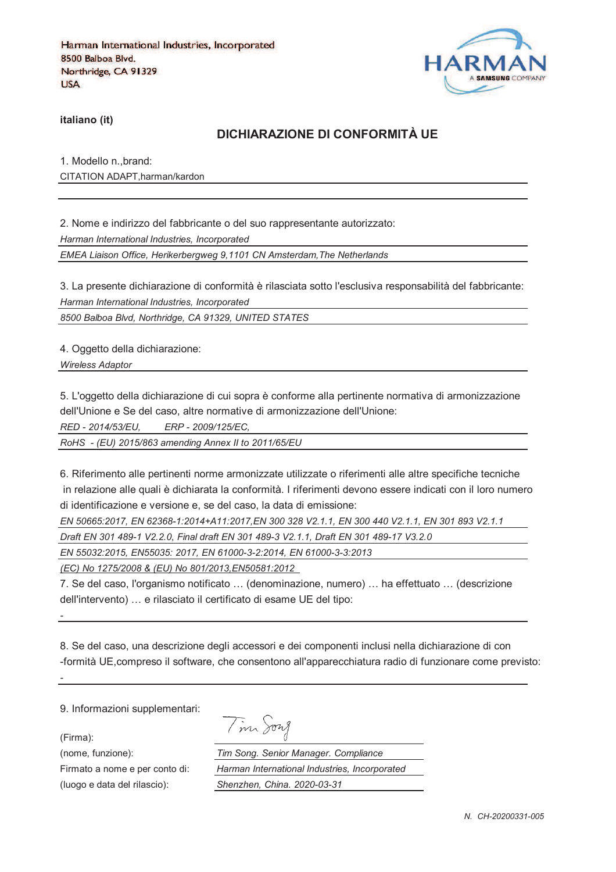

**italiano (it)**

### **DICHIARAZIONE DI CONFORMITÀ UE**

1. Modello n.,brand: CITATION ADAPT,harman/kardon

2. Nome e indirizzo del fabbricante o del suo rappresentante autorizzato:

*Harman International Industries, Incorporated*

*EMEA Liaison Office, Herikerbergweg 9,1101 CN Amsterdam,The Netherlands*

3. La presente dichiarazione di conformità è rilasciata sotto l'esclusiva responsabilità del fabbricante: *Harman International Industries, Incorporated*

*8500 Balboa Blvd, Northridge, CA 91329, UNITED STATES*

4. Oggetto della dichiarazione:

*Wireless Adaptor* 

5. L'oggetto della dichiarazione di cui sopra è conforme alla pertinente normativa di armonizzazione dell'Unione e Se del caso, altre normative di armonizzazione dell'Unione:

*RED - 2014/53/EU, ERP - 2009/125/EC,*

*RoHS - (EU) 2015/863 amending Annex II to 2011/65/EU*

6. Riferimento alle pertinenti norme armonizzate utilizzate o riferimenti alle altre specifiche tecniche in relazione alle quali è dichiarata la conformità. I riferimenti devono essere indicati con il loro numero di identificazione e versione e, se del caso, la data di emissione:

*EN 50665:2017, EN 62368-1:2014+A11:2017,EN 300 328 V2.1.1, EN 300 440 V2.1.1, EN 301 893 V2.1.1* 

*Draft EN 301 489-1 V2.2.0, Final draft EN 301 489-3 V2.1.1, Draft EN 301 489-17 V3.2.0*

*EN 55032:2015, EN55035: 2017, EN 61000-3-2:2014, EN 61000-3-3:2013*

*(EC) No 1275/2008 & (EU) No 801/2013,EN50581:2012* 

7. Se del caso, l'organismo notificato … (denominazione, numero) … ha effettuato … (descrizione dell'intervento) … e rilasciato il certificato di esame UE del tipo:

8. Se del caso, una descrizione degli accessori e dei componenti inclusi nella dichiarazione di con -formità UE,compreso il software, che consentono all'apparecchiatura radio di funzionare come previsto:

9. Informazioni supplementari:

(Firma):

*-*

*-*

Tim Song

(nome, funzione): *Tim Song. Senior Manager. Compliance* Firmato a nome e per conto di: *Harman International Industries, Incorporated* (luogo e data del rilascio): *Shenzhen, China. 2020-03-31*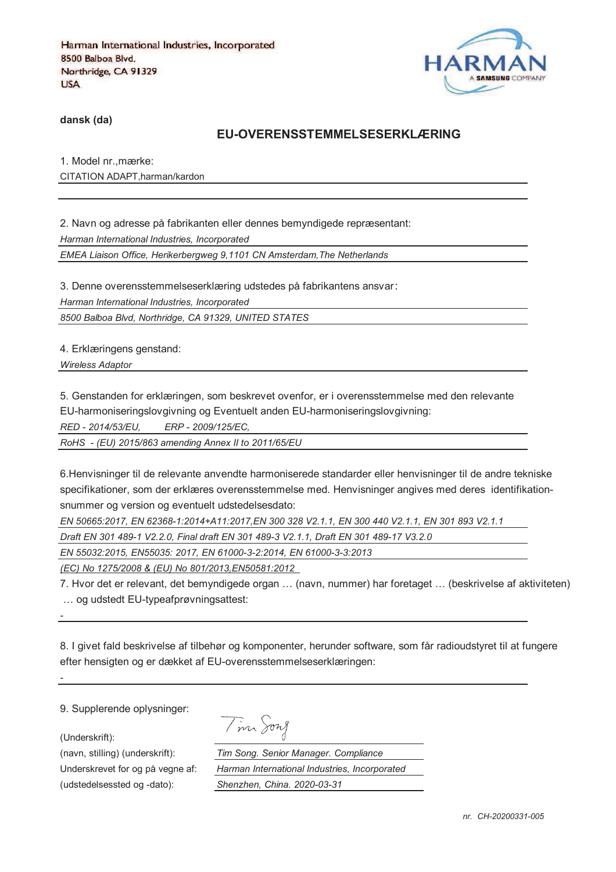

**dansk (da)**

#### **EU-OVERENSSTEMMELSESERKLÆRING**

1. Model nr.,mærke: CITATION ADAPT,harman/kardon

2. Navn og adresse på fabrikanten eller dennes bemyndigede repræsentant: *Harman International Industries, Incorporated EMEA Liaison Office, Herikerbergweg 9,1101 CN Amsterdam,The Netherlands*

3. Denne overensstemmelseserklæring udstedes på fabrikantens ansvar *Harman International Industries, Incorporated*

*8500 Balboa Blvd, Northridge, CA 91329, UNITED STATES*

4. Erklæringens genstand:

*Wireless Adaptor* 

5. Genstanden for erklæringen, som beskrevet ovenfor, er i overensstemmelse med den relevante

EU-harmoniseringslovgivning og Eventuelt anden EU-harmoniseringslovgivning:

*RED - 2014/53/EU, ERP - 2009/125/EC,*

*RoHS - (EU) 2015/863 amending Annex II to 2011/65/EU*

6.Henvisninger til de relevante anvendte harmoniserede standarder eller henvisninger til de andre tekniske specifikationer, som der erklæres overensstemmelse med. Henvisninger angives med deres identifikationsnummer og version og eventuelt udstedelsesdato:

*EN 50665:2017, EN 62368-1:2014+A11:2017,EN 300 328 V2.1.1, EN 300 440 V2.1.1, EN 301 893 V2.1.1* 

*Draft EN 301 489-1 V2.2.0, Final draft EN 301 489-3 V2.1.1, Draft EN 301 489-17 V3.2.0*

*EN 55032:2015, EN55035: 2017, EN 61000-3-2:2014, EN 61000-3-3:2013*

*(EC) No 1275/2008 & (EU) No 801/2013,EN50581:2012* 

7. Hvor det er relevant, det bemyndigede organ … (navn, nummer) har foretaget … (beskrivelse af aktiviteten) … og udstedt EU-typeafprøvningsattest:

8. I givet fald beskrivelse af tilbehør og komponenter, herunder software, som får radioudstyret til at fungere efter hensigten og er dækket af EU-overensstemmelseserklæringen:

9. Supplerende oplysninger:

(Underskrift):

*-*

*-*

(udstedelsessted og -dato): *Shenzhen, China. 2020-03-31*

Tim Song

(navn, stilling) (underskrift): *Tim Song. Senior Manager. Compliance* Underskrevet for og på vegne af: *Harman International Industries, Incorporated*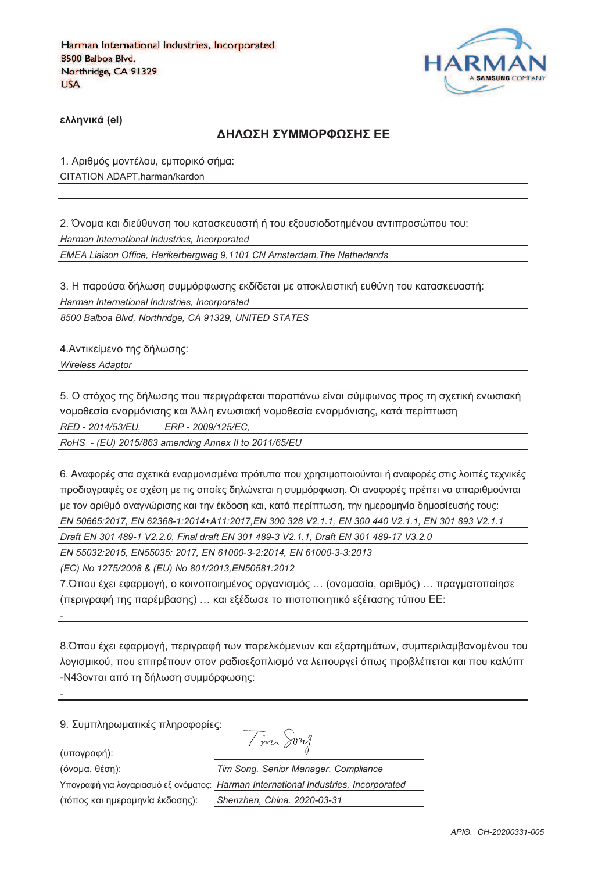

**)\*\*+,-./ (el)**

#### **ΔΗΛΟΣΗ ΣΥΜΜΟΡΦΟΣΗΣ ΕΕ**

1. Αριθμός μοντέλου, εμπορικό σήμα: CITATION ADAPT,harman/kardon

2. Όνομα και διεύθυνση του κατασκευαστή ή του εξουσιοδοτημένου αντιπροσώπου του: *Harman International Industries, Incorporated EMEA Liaison Office, Herikerbergweg 9,1101 CN Amsterdam,The Netherlands*

3. Η παρούσα δήλωση συμμόρφωσης εκδίδεται με αποκλειστική ευθύνη του κατασκευαστή: *Harman International Industries, Incorporated*

*8500 Balboa Blvd, Northridge, CA 91329, UNITED STATES*

4. Αντικείμενο της δήλωσης:

*Wireless Adaptor* 

5. Ο στόχος της δήλωσης που περιγράφεται παραπάνω είναι σύμφωνος προς τη σχετική ενωσιακή vομοθεσία εναρμόνισης και Άλλη ενωσιακή νομοθεσία εναρμόνισης, κατά περίπτωση *RED - 2014/53/EU, ERP - 2009/125/EC,*

*RoHS - (EU) 2015/863 amending Annex II to 2011/65/EU*

6. Αναφορές στα σχετικά εναρμονισμένα πρότυπα που χρησιμοποιούνται ή αναφορές στις λοιπές τεχνικές προδιαγραφές σε σχέση με τις οποίες δηλώνεται η συμμόρφωση. Οι αναφορές πρέπει να απαριθμούνται με τον αριθμό αναννώρισης και την έκδοση και, κατά περίπτωση, την ημερομηνία δημοσίευσής τους; *EN 50665:2017, EN 62368-1:2014+A11:2017,EN 300 328 V2.1.1, EN 300 440 V2.1.1, EN 301 893 V2.1.1* 

*Draft EN 301 489-1 V2.2.0, Final draft EN 301 489-3 V2.1.1, Draft EN 301 489-17 V3.2.0*

*EN 55032:2015, EN55035: 2017, EN 61000-3-2:2014, EN 61000-3-3:2013*

*(EC) No 1275/2008 & (EU) No 801/2013,EN50581:2012* 

7.Όπου έχει εφαρμογή, ο κοινοποιημένος οργανισμός ... (ονομασία, αριθμός) ... πραγματοποίησε (περιγραφή της παρέμβασης) ... και εξέδωσε το πιστοποιητικό εξέτασης τύπου ΕΕ:

8. Όπου έχει εφαρμογή, περιγραφή των παρελκόμενων και εξαρτημάτων, συμπεριλαμβανομένου του λογισμικού, που επιτρέπουν στον ραδιοεξοπλισμό να λειτουργεί όπως προβλέπεται και που καλύπτ -N43ονται από τη δήλωση συμμόρφωσης:

9. Συμπληρωματικές πληροφορίες:

(υπογραφή):

*-*

*-*

(3652@, 18>D): *Tim Song. Senior Manager. Compliance*

Υπογραφή για λογαριασμό εξ ονόματος:

(73<54 =@0 D2;/52D6J@ 8=B5>D4): *Shenzhen, China. 2020-03-31*

| 'n.<br>Tim Song                               |
|-----------------------------------------------|
| Tim Song. Senior Manager. Compliance          |
| Harman International Industries, Incorporated |
| Shenzhen, China, 2020-03-31                   |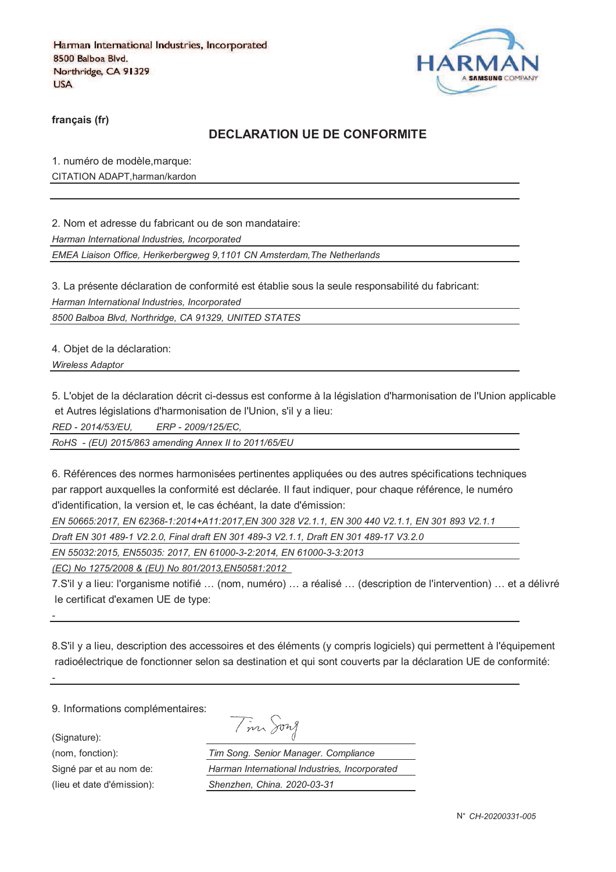

**français (fr)**

### **DECLARATION UE DE CONFORMITE**

1. numéro de modèle,marque: CITATION ADAPT,harman/kardon

2. Nom et adresse du fabricant ou de son mandataire:

*Harman International Industries, Incorporated*

*EMEA Liaison Office, Herikerbergweg 9,1101 CN Amsterdam,The Netherlands*

3. La présente déclaration de conformité est établie sous la seule responsabilité du fabricant:

*Harman International Industries, Incorporated*

*8500 Balboa Blvd, Northridge, CA 91329, UNITED STATES*

4. Objet de la déclaration:

*Wireless Adaptor* 

5. L'objet de la déclaration décrit ci-dessus est conforme à la législation d'harmonisation de l'Union applicable et Autres législations d'harmonisation de l'Union, s'il y a lieu:

*RED - 2014/53/EU, ERP - 2009/125/EC,*

*RoHS - (EU) 2015/863 amending Annex II to 2011/65/EU*

6. Références des normes harmonisées pertinentes appliquées ou des autres spécifications techniques par rapport auxquelles la conformité est déclarée. Il faut indiquer, pour chaque référence, le numéro d'identification, la version et, le cas échéant, la date d'émission:

*EN 50665:2017, EN 62368-1:2014+A11:2017,EN 300 328 V2.1.1, EN 300 440 V2.1.1, EN 301 893 V2.1.1* 

*Draft EN 301 489-1 V2.2.0, Final draft EN 301 489-3 V2.1.1, Draft EN 301 489-17 V3.2.0*

*EN 55032:2015, EN55035: 2017, EN 61000-3-2:2014, EN 61000-3-3:2013*

*(EC) No 1275/2008 & (EU) No 801/2013,EN50581:2012* 

7.S'il y a lieu: l'organisme notifié … (nom, numéro) … a réalisé … (description de l'intervention) … et a délivré le certificat d'examen UE de type:

8.S'il y a lieu, description des accessoires et des éléments (y compris logiciels) qui permettent à l'équipement radioélectrique de fonctionner selon sa destination et qui sont couverts par la déclaration UE de conformité:

9. Informations complémentaires:

(Signature):

*-*

*-*

(nom, fonction):

Signé par et au nom de:

(lieu et date d'émission):

| $\sim$ | 172.8 |
|--------|-------|

| Tim Song. Senior Manager. Compliance          |  |  |
|-----------------------------------------------|--|--|
| Harman International Industries, Incorporated |  |  |
| Shenzhen, China. 2020-03-31                   |  |  |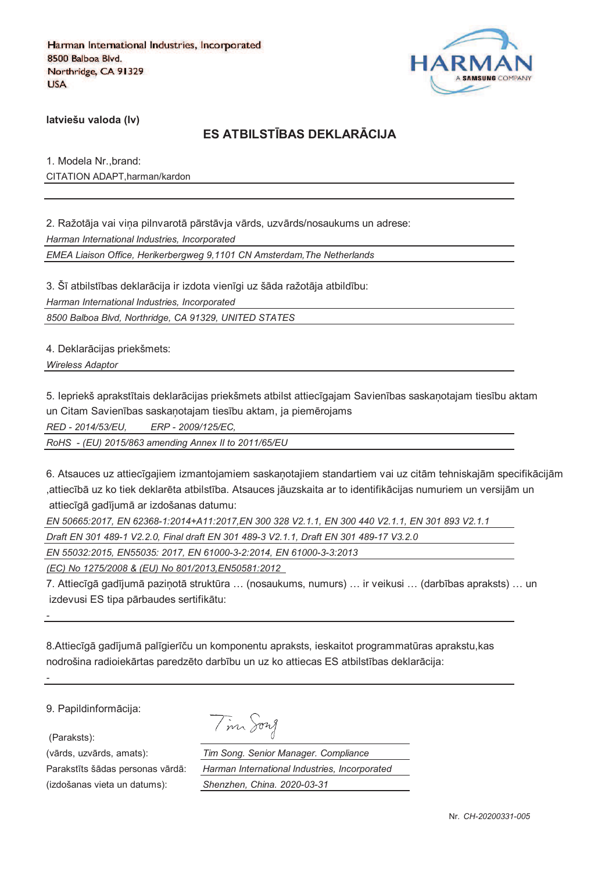

**latviešu valoda (lv)**

## **ES ATBILSTJBAS DEKLARKCIJA**

1. Modela Nr.,brand: CITATION ADAPT,harman/kardon

2. Ražotāja vai vina pilnvarotā pārstāvja vārds, uzvārds/nosaukums un adrese: *Harman International Industries, Incorporated*

*EMEA Liaison Office, Herikerbergweg 9,1101 CN Amsterdam,The Netherlands*

3. Šī atbilstības deklarācija ir izdota vienīgi uz šāda ražotāja atbildību: *Harman International Industries, Incorporated*

*8500 Balboa Blvd, Northridge, CA 91329, UNITED STATES*

4. Deklarācijas priekšmets:

*Wireless Adaptor* 

5. Iepriekš aprakstītais deklarācijas priekšmets atbilst attiecīgajam Savienības saskanotajam tiesību aktam un Citam Savienības saskaņotajam tiesību aktam, ja piemērojams

*RED - 2014/53/EU, ERP - 2009/125/EC,*

*RoHS - (EU) 2015/863 amending Annex II to 2011/65/EU*

6. Atsauces uz attiecīgajiem izmantojamiem saskanotajiem standartiem vai uz citām tehniskajām specifikācijām ,attiecībā uz ko tiek deklarēta atbilstība. Atsauces jāuzskaita ar to identifikācijas numuriem un versijām un attiecīgā gadījumā ar izdošanas datumu:

*EN 50665:2017, EN 62368-1:2014+A11:2017,EN 300 328 V2.1.1, EN 300 440 V2.1.1, EN 301 893 V2.1.1* 

*Draft EN 301 489-1 V2.2.0, Final draft EN 301 489-3 V2.1.1, Draft EN 301 489-17 V3.2.0*

*EN 55032:2015, EN55035: 2017, EN 61000-3-2:2014, EN 61000-3-3:2013*

*(EC) No 1275/2008 & (EU) No 801/2013,EN50581:2012* 

7. Attiecīgā gadījumā pazinotā struktūra ... (nosaukums, numurs) ... ir veikusi ... (darbības apraksts) ... un izdevusi ES tipa pārbaudes sertifikātu:

8.Attiecīgā gadījumā palīgierīču un komponentu apraksts, ieskaitot programmatūras aprakstu, kas nodrošina radioiekārtas paredzēto darbību un uz ko attiecas ES atbilstības deklarācija:

9. Papildinformācija:

(Paraksts):

*-*

*-*

(izdošanas vieta un datums): *Shenzhen, China. 2020-03-31*

| $\overline{\phantom{a}}$ | 1974 <i>A</i> |
|--------------------------|---------------|
|--------------------------|---------------|

(vārds, uzvārds, amats): *Tim Song. Senior Manager. Compliance* Parakstīts šādas personas vārdā: *Harman International Industries, Incorporated*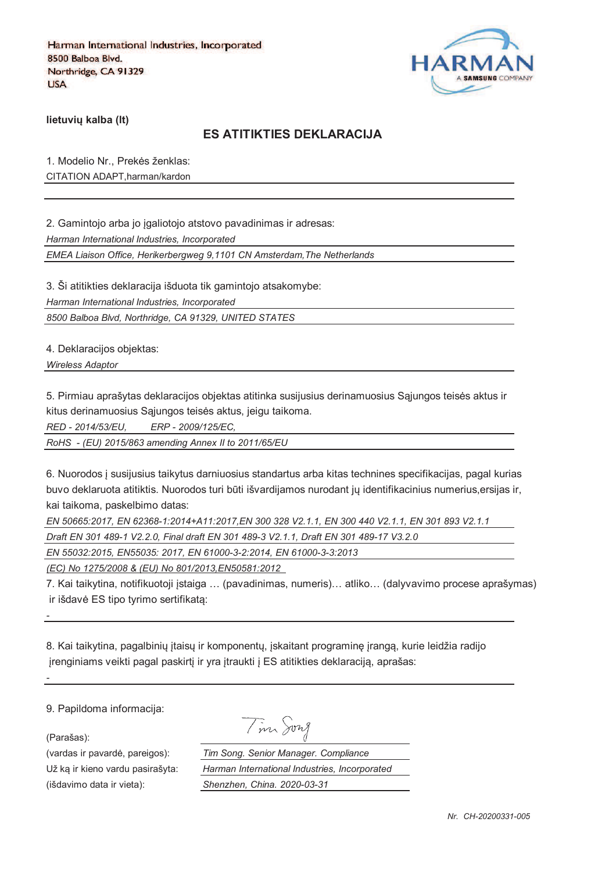

**lietuviu kalba (It)** 

### **ES ATITIKTIES DEKLARACIJA**

1. Modelio Nr., Prekės ženklas: CITATION ADAPT,harman/kardon

2. Gamintojo arba jo igaliotojo atstovo pavadinimas ir adresas:

*Harman International Industries, Incorporated*

*EMEA Liaison Office, Herikerbergweg 9,1101 CN Amsterdam,The Netherlands*

3. Ši atitikties deklaracija išduota tik gamintojo atsakomybe:

*Harman International Industries, Incorporated*

*8500 Balboa Blvd, Northridge, CA 91329, UNITED STATES*

4. Deklaracijos objektas:

*Wireless Adaptor* 

5. Pirmiau aprašytas deklaracijos objektas atitinka susijusius derinamuosius Sajungos teisės aktus ir kitus derinamuosius Sąjungos teisės aktus, jeigu taikoma.

*RED - 2014/53/EU, ERP - 2009/125/EC,*

*RoHS - (EU) 2015/863 amending Annex II to 2011/65/EU*

6. Nuorodos ` susijusius taikytus darniuosius standartus arba kitas technines specifikacijas, pagal kurias buvo deklaruota atitiktis. Nuorodos turi būti išvardijamos nurodant jų identifikacinius numerius,ersijas ir, kai taikoma, paskelbimo datas:

*EN 50665:2017, EN 62368-1:2014+A11:2017,EN 300 328 V2.1.1, EN 300 440 V2.1.1, EN 301 893 V2.1.1* 

*Draft EN 301 489-1 V2.2.0, Final draft EN 301 489-3 V2.1.1, Draft EN 301 489-17 V3.2.0*

*EN 55032:2015, EN55035: 2017, EN 61000-3-2:2014, EN 61000-3-3:2013*

*(EC) No 1275/2008 & (EU) No 801/2013,EN50581:2012* 

7. Kai taikytina, notifikuotoji `staiga … (pavadinimas, numeris)… atliko… (dalyvavimo procese aprašymas) ir išdavė ES tipo tyrimo sertifikata:

8. Kai taikytina, pagalbinių įtaisų ir komponentų, įskaitant programinę įrangą, kurie leidžia radijo jrenginiams veikti pagal paskirtį ir yra įtraukti į ES atitikties deklaraciją, aprašas:

9. Papildoma informacija:

(Parašas):

*-*

*-*

(vardas ir pavard\_, pareigos): *Tim Song. Senior Manager. Compliance* Už ka ir kieno vardu pasirašyta: *Harman International International International* (išdavimo data ir vieta): *Shenzhen, C* 

| m                      | song |  |
|------------------------|------|--|
| g. Senior Manager. Cor |      |  |

| rnational Industries, Incorporated |
|------------------------------------|
| hina. 2020-03-31 <sup>.</sup>      |
|                                    |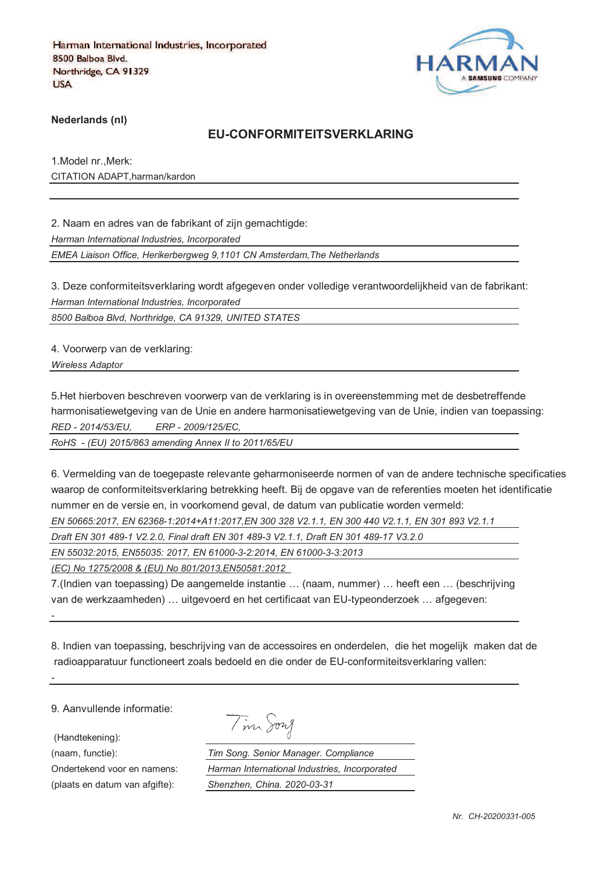

**Nederlands (nl)**

#### **EU-CONFORMITEITSVERKLARING**

1.Model nr.,Merk: CITATION ADAPT,harman/kardon

2. Naam en adres van de fabrikant of zijn gemachtigde:

*Harman International Industries, Incorporated*

*EMEA Liaison Office, Herikerbergweg 9,1101 CN Amsterdam,The Netherlands*

3. Deze conformiteitsverklaring wordt afgegeven onder volledige verantwoordelijkheid van de fabrikant: *Harman International Industries, Incorporated*

*8500 Balboa Blvd, Northridge, CA 91329, UNITED STATES*

4. Voorwerp van de verklaring:

*Wireless Adaptor* 

5.Het hierboven beschreven voorwerp van de verklaring is in overeenstemming met de desbetreffende harmonisatiewetgeving van de Unie en andere harmonisatiewetgeving van de Unie, indien van toepassing: *RED - 2014/53/EU, ERP - 2009/125/EC,*

*RoHS - (EU) 2015/863 amending Annex II to 2011/65/EU*

6. Vermelding van de toegepaste relevante geharmoniseerde normen of van de andere technische specificaties waarop de conformiteitsverklaring betrekking heeft. Bij de opgave van de referenties moeten het identificatie nummer en de versie en, in voorkomend geval, de datum van publicatie worden vermeld:

*EN 50665:2017, EN 62368-1:2014+A11:2017,EN 300 328 V2.1.1, EN 300 440 V2.1.1, EN 301 893 V2.1.1* 

*Draft EN 301 489-1 V2.2.0, Final draft EN 301 489-3 V2.1.1, Draft EN 301 489-17 V3.2.0*

*EN 55032:2015, EN55035: 2017, EN 61000-3-2:2014, EN 61000-3-3:2013*

*(EC) No 1275/2008 & (EU) No 801/2013,EN50581:2012* 

7.(Indien van toepassing) De aangemelde instantie … (naam, nummer) … heeft een … (beschrijving van de werkzaamheden) … uitgevoerd en het certificaat van EU-typeonderzoek … afgegeven:

8. Indien van toepassing, beschrijving van de accessoires en onderdelen, die het mogelijk maken dat de radioapparatuur functioneert zoals bedoeld en die onder de EU-conformiteitsverklaring vallen:

9. Aanvullende informatie:

(Handtekening):

*-*

*-*

(plaats en datum van afgifte): *Shenzhen, China. 2020-03-31*

Tim Song

(naam, functie): *Tim Song. Senior Manager. Compliance* Ondertekend voor en namens: *Harman International Industries, Incorporated*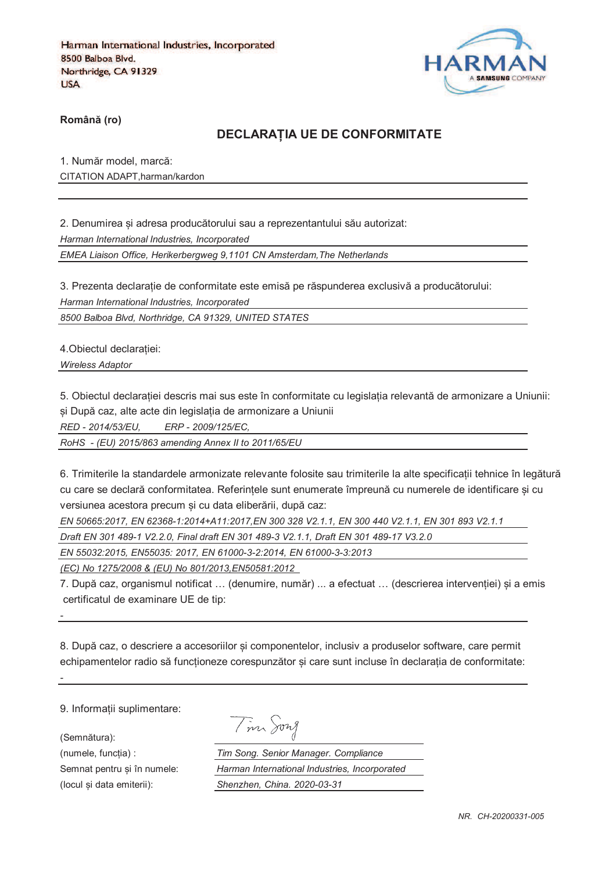

**RomânO (ro)**

#### **DECLARAPIA UE DE CONFORMITATE**

1. Număr model, marcă: CITATION ADAPT,harman/kardon

2. Denumirea si adresa producătorului sau a reprezentantului său autorizat:

*Harman International Industries, Incorporated*

*EMEA Liaison Office, Herikerbergweg 9,1101 CN Amsterdam,The Netherlands*

3. Prezenta declarație de conformitate este emisă pe răspunderea exclusivă a producătorului: *Harman International Industries, Incorporated*

*8500 Balboa Blvd, Northridge, CA 91329, UNITED STATES*

4. Obiectul declaratiei:

*Wireless Adaptor* 

5. Obiectul declaratiei descris mai sus este în conformitate cu legislatia relevantă de armonizare a Uniunii:

și După caz, alte acte din legislația de armonizare a Uniunii

*RED - 2014/53/EU, ERP - 2009/125/EC,*

*RoHS - (EU) 2015/863 amending Annex II to 2011/65/EU*

6. Trimiterile la standardele armonizate relevante folosite sau trimiterile la alte specificatii tehnice în legătură cu care se declară conformitatea. Referintele sunt enumerate împreună cu numerele de identificare si cu versiunea acestora precum si cu data eliberării, după caz:

*EN 50665:2017, EN 62368-1:2014+A11:2017,EN 300 328 V2.1.1, EN 300 440 V2.1.1, EN 301 893 V2.1.1* 

*Draft EN 301 489-1 V2.2.0, Final draft EN 301 489-3 V2.1.1, Draft EN 301 489-17 V3.2.0*

*EN 55032:2015, EN55035: 2017, EN 61000-3-2:2014, EN 61000-3-3:2013*

*(EC) No 1275/2008 & (EU) No 801/2013,EN50581:2012* 

7. După caz, organismul notificat ... (denumire, număr) ... a efectuat ... (descrierea intervenției) si a emis certificatul de examinare UE de tip:

8. După caz, o descriere a accesoriilor și componentelor, inclusiv a produselor software, care permit echipamentelor radio să funcționeze corespunzător și care sunt incluse în declarația de conformitate:

9. Informatii suplimentare:

(Semnătura):

*-*

*-*

Tim Song

(numele, funcgia) : *Tim Song. Senior Manager. Compliance* Semnat pentru si în numele: *Harman International Industries, Incorporated* (locul fi data emiterii): *Shenzhen, China. 2020-03-31*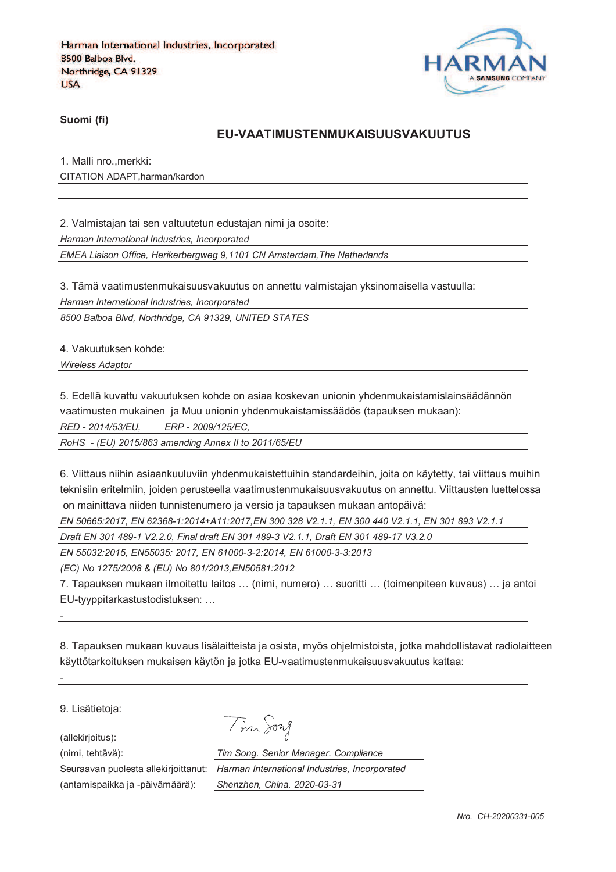

**Suomi (fi)**

#### **EU-VAATIMUSTENMUKAISUUSVAKUUTUS**

1. Malli nro.,merkki: CITATION ADAPT,harman/kardon

2. Valmistajan tai sen valtuutetun edustajan nimi ja osoite:

*Harman International Industries, Incorporated*

*EMEA Liaison Office, Herikerbergweg 9,1101 CN Amsterdam,The Netherlands*

3. Tämä vaatimustenmukaisuusvakuutus on annettu valmistajan yksinomaisella vastuulla: *Harman International Industries, Incorporated*

*8500 Balboa Blvd, Northridge, CA 91329, UNITED STATES*

4. Vakuutuksen kohde:

*Wireless Adaptor* 

5. Edellä kuvattu vakuutuksen kohde on asiaa koskevan unionin yhdenmukaistamislainsäädännön

vaatimusten mukainen ja Muu unionin yhdenmukaistamissäädös (tapauksen mukaan):

*RED - 2014/53/EU, ERP - 2009/125/EC,*

*RoHS - (EU) 2015/863 amending Annex II to 2011/65/EU*

6. Viittaus niihin asiaankuuluviin yhdenmukaistettuihin standardeihin, joita on käytetty, tai viittaus muihin teknisiin eritelmiin, joiden perusteella vaatimustenmukaisuusvakuutus on annettu. Viittausten luettelossa on mainittava niiden tunnistenumero ja versio ja tapauksen mukaan antopäivä:

*EN 50665:2017, EN 62368-1:2014+A11:2017,EN 300 328 V2.1.1, EN 300 440 V2.1.1, EN 301 893 V2.1.1* 

*Draft EN 301 489-1 V2.2.0, Final draft EN 301 489-3 V2.1.1, Draft EN 301 489-17 V3.2.0*

*EN 55032:2015, EN55035: 2017, EN 61000-3-2:2014, EN 61000-3-3:2013*

*(EC) No 1275/2008 & (EU) No 801/2013,EN50581:2012* 

7. Tapauksen mukaan ilmoitettu laitos … (nimi, numero) … suoritti … (toimenpiteen kuvaus) … ja antoi EU-tyyppitarkastustodistuksen: …

8. Tapauksen mukaan kuvaus lisälaitteista ja osista, myös ohjelmistoista, jotka mahdollistavat radiolaitteen käyttötarkoituksen mukaisen käytön ja jotka EU-vaatimustenmukaisuusvakuutus kattaa:

9. Lisätietoja:

*-*

*-*

(allekirjoitus):

Tim Song

(nimi, tehtävä): *Tim Song. Senior Manager. Compliance* Seuraavan puolesta allekirjoittanut: *Harman International Industries, Incorporated* (antamispaikka ja -päivämäärä): *Shenzhen, China. 2020-03-31*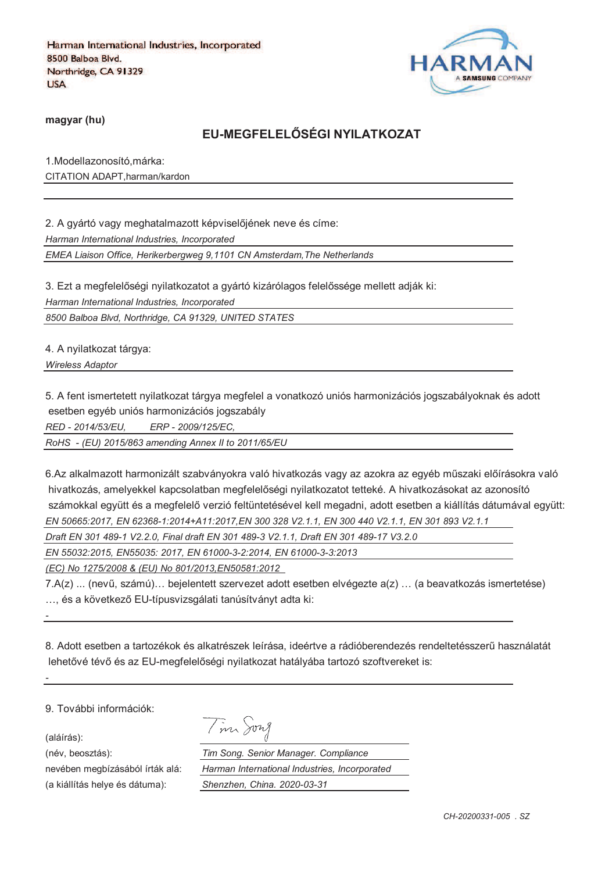

**magyar (hu)**

## **EU-MEGFELELRSÉGI NYILATKOZAT**

1.Modellazonosító,márka: CITATION ADAPT,harman/kardon

2. A gyártó vagy meghatalmazott képviselőjének neve és címe: *Harman International Industries, Incorporated*

*EMEA Liaison Office, Herikerbergweg 9,1101 CN Amsterdam,The Netherlands*

3. Ezt a megfelelőségi nyilatkozatot a gyártó kizárólagos felelőssége mellett adják ki:

*Harman International Industries, Incorporated*

*8500 Balboa Blvd, Northridge, CA 91329, UNITED STATES*

4. A nyilatkozat tárgya:

*Wireless Adaptor* 

5. A fent ismertetett nyilatkozat tárgya megfelel a vonatkozó uniós harmonizációs jogszabályoknak és adott esetben egyéb uniós harmonizációs jogszabály

*RED - 2014/53/EU, ERP - 2009/125/EC,*

*RoHS - (EU) 2015/863 amending Annex II to 2011/65/EU*

6.Az alkalmazott harmonizált szabványokra való hivatkozás vagy az azokra az egyéb műszaki előírásokra való hivatkozás, amelyekkel kapcsolatban megfelelőségi nyilatkozatot tetteké. A hivatkozásokat az azonosító számokkal együtt és a megfelelő verzió feltüntetésével kell megadni, adott esetben a kiállítás dátumával együtt: *EN 50665:2017, EN 62368-1:2014+A11:2017,EN 300 328 V2.1.1, EN 300 440 V2.1.1, EN 301 893 V2.1.1* 

*Draft EN 301 489-1 V2.2.0, Final draft EN 301 489-3 V2.1.1, Draft EN 301 489-17 V3.2.0*

*EN 55032:2015, EN55035: 2017, EN 61000-3-2:2014, EN 61000-3-3:2013*

*(EC) No 1275/2008 & (EU) No 801/2013,EN50581:2012* 

7.A(z) ... (nevi, számú)… bejelentett szervezet adott esetben elvégezte a(z) … (a beavatkozás ismertetése) ... és a következő EU-típusvizsgálati tanúsítványt adta ki:

8. Adott esetben a tartozékok és alkatrészek leírása, ideértve a rádióberendezés rendeltetésszeri használatát lehetővé tévő és az EU-megfelelőségi nyilatkozat hatályába tartozó szoftvereket is:

9. További információk:

(aláírás):

*-*

*-*

(a kiállítás helye és dátuma): *Shenzhen, China. 2020-03-31*

|  | $\overline{a}$ | vn I<br>╱ |
|--|----------------|-----------|
|  |                |           |

(név, beosztás): *Tim Song. Senior Manager. Compliance* nevében megbízásából írták alá: *Harman International Industries, Incorporated*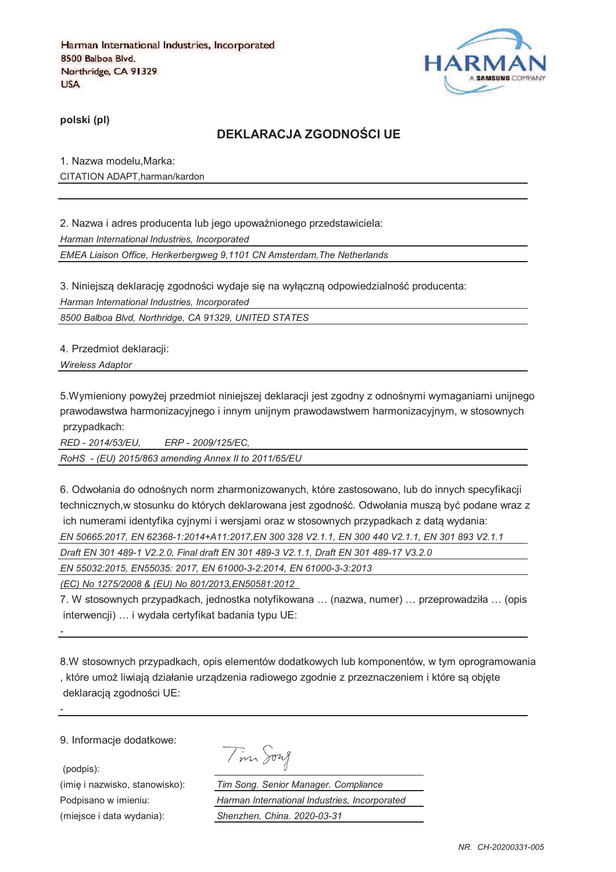

**polski (pl)**

## **DEKLARACJA ZGODNOTCI UE**

1. Nazwa modelu,Marka: CITATION ADAPT,harman/kardon

2. Nazwa i adres producenta lub jego upoważnionego przedstawiciela: *Harman International Industries, Incorporated EMEA Liaison Office, Herikerbergweg 9,1101 CN Amsterdam,The Netherlands*

3. Niniejszą deklarację zgodności wydaje się na wyłączną odpowiedzialność producenta: *Harman International Industries, Incorporated*

*8500 Balboa Blvd, Northridge, CA 91329, UNITED STATES*

4. Przedmiot deklaracji:

*Wireless Adaptor* 

5.Wymieniony powyżej przedmiot niniejszej deklaracji jest zgodny z odnośnymi wymaganiami unijnego prawodawstwa harmonizacyjnego i innym unijnym prawodawstwem harmonizacyjnym, w stosownych przypadkach:

*RED - 2014/53/EU, ERP - 2009/125/EC,*

*RoHS - (EU) 2015/863 amending Annex II to 2011/65/EU*

6. Odwołania do odnośnych norm zharmonizowanych, które zastosowano, lub do innych specyfikacji technicznych,w stosunku do których deklarowana jest zgodność. Odwołania musza być podane wraz z ich numerami identyfika cyjnymi i wersjami oraz w stosownych przypadkach z data wydania: *EN 50665:2017, EN 62368-1:2014+A11:2017,EN 300 328 V2.1.1, EN 300 440 V2.1.1, EN 301 893 V2.1.1* 

*Draft EN 301 489-1 V2.2.0, Final draft EN 301 489-3 V2.1.1, Draft EN 301 489-17 V3.2.0*

*EN 55032:2015, EN55035: 2017, EN 61000-3-2:2014, EN 61000-3-3:2013*

*(EC) No 1275/2008 & (EU) No 801/2013,EN50581:2012* 

7. W stosownych przypadkach, jednostka notyfikowana … (nazwa, numer) … przeprowadziła … (opis interwencji) … i wydała certyfikat badania typu UE:

8.W stosownych przypadkach, opis elementów dodatkowych lub komponentów, w tym oprogramowania , które umoj liwiaja działanie urzadzenia radiowego zgodnie z przeznaczeniem i które sa objcte deklaracją zgodności UE:

9. Informacje dodatkowe:

(podpis):

*-*

*-*

Tim Song

(imię i nazwisko, stanowisko): *Tim Song. Senior Manager. Compliance* Podpisano w imieniu: *Harman International Industries, Incorporated* (miejsce i data wydania): *Shenzhen, China. 2020-03-31*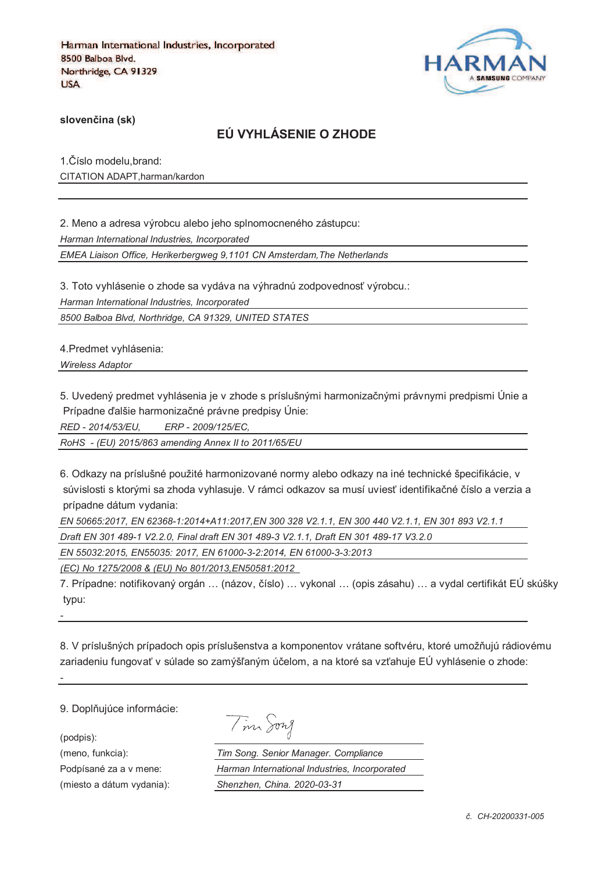

**sloven%ina (sk)**

## **EÚ VYHLÁSENIE O ZHODE**

1. Číslo modelu, brand: CITATION ADAPT,harman/kardon

2. Meno a adresa výrobcu alebo jeho splnomocneného zástupcu: *Harman International Industries, Incorporated EMEA Liaison Office, Herikerbergweg 9,1101 CN Amsterdam,The Netherlands*

3. Toto vyhlásenie o zhode sa vydáva na výhradnú zodpovednosť výrobcu.:

*Harman International Industries, Incorporated*

*8500 Balboa Blvd, Northridge, CA 91329, UNITED STATES*

4.Predmet vyhlásenia:

*Wireless Adaptor* 

5. Uvedený predmet vyhlásenia je v zhode s príslušnými harmonizačnými právnymi predpismi Únie a Prípadne ďalšie harmonizačné právne predpisy Únie:

*RED - 2014/53/EU, ERP - 2009/125/EC,*

*RoHS - (EU) 2015/863 amending Annex II to 2011/65/EU*

6. Odkazy na príslušné použité harmonizované normy alebo odkazy na iné technické špecifikácie, v súvislosti s ktorými sa zhoda vyhlasuje. V rámci odkazov sa musí uviesť identifikačné číslo a verzia a prípadne dátum vydania:

*EN 50665:2017, EN 62368-1:2014+A11:2017,EN 300 328 V2.1.1, EN 300 440 V2.1.1, EN 301 893 V2.1.1 Draft EN 301 489-1 V2.2.0, Final draft EN 301 489-3 V2.1.1, Draft EN 301 489-17 V3.2.0*

*EN 55032:2015, EN55035: 2017, EN 61000-3-2:2014, EN 61000-3-3:2013*

*(EC) No 1275/2008 & (EU) No 801/2013,EN50581:2012* 

7. Prípadne: notifikovaný orgán ... (názov, číslo) ... vykonal ... (opis zásahu) ... a vydal certifikát EÚ skúšky typu:

8. V príslušných prípadoch opis príslušenstva a komponentov vrátane softvéru, ktoré umožňujú rádiovému zariadeniu fungovať v súlade so zamýšľaným účelom, a na ktoré sa vzťahuje EÚ vyhlásenie o zhode:

9. Doplňujúce informácie:

(podpis):

*-*

*-*

| $\mathscr{L}_{\mathscr{L}}$ | าพา |
|-----------------------------|-----|
|-----------------------------|-----|

(meno, funkcia): *Tim Song. Senior Manager. Compliance* Podpísané za a v mene: *Harman International Industries, Incorporated* (miesto a dátum vydania): *Shenzhen, China. 2020-03-31*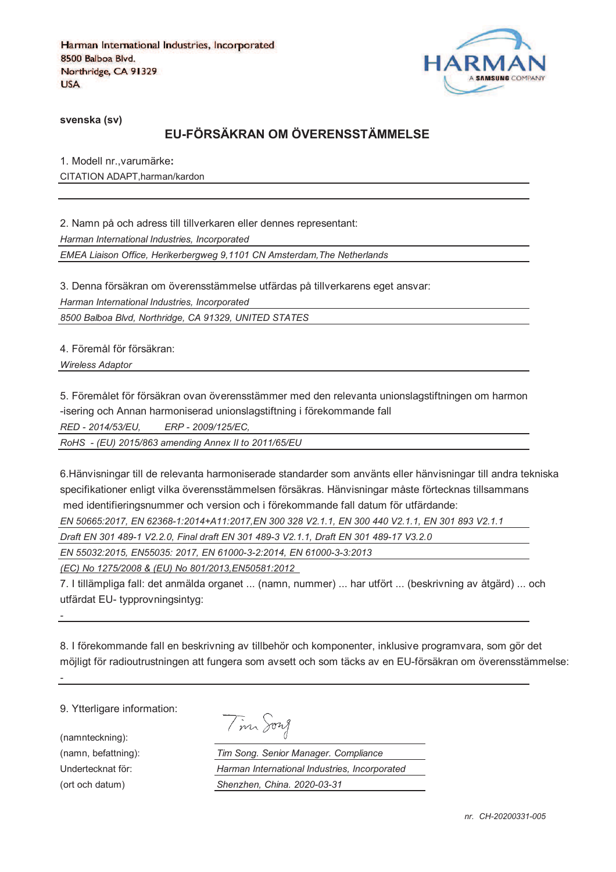

**svenska (sv)**

# **EU-FÖRSÄKRAN OM ÖVERENSSTÄMMELSE**

1. Modell nr.,varumärke**:** CITATION ADAPT,harman/kardon

2. Namn på och adress till tillverkaren eller dennes representant: *Harman International Industries, Incorporated EMEA Liaison Office, Herikerbergweg 9,1101 CN Amsterdam,The Netherlands*

3. Denna försäkran om överensstämmelse utfärdas på tillverkarens eget ansvar:

*Harman International Industries, Incorporated*

*8500 Balboa Blvd, Northridge, CA 91329, UNITED STATES*

4. Föremål för försäkran:

*Wireless Adaptor* 

5. Föremålet för försäkran ovan överensstämmer med den relevanta unionslagstiftningen om harmon -isering och Annan harmoniserad unionslagstiftning i förekommande fall

*RED - 2014/53/EU, ERP - 2009/125/EC,*

*RoHS - (EU) 2015/863 amending Annex II to 2011/65/EU*

6.Hänvisningar till de relevanta harmoniserade standarder som använts eller hänvisningar till andra tekniska specifikationer enligt vilka överensstämmelsen försäkras. Hänvisningar måste förtecknas tillsammans med identifieringsnummer och version och i förekommande fall datum för utfärdande:

*EN 50665:2017, EN 62368-1:2014+A11:2017,EN 300 328 V2.1.1, EN 300 440 V2.1.1, EN 301 893 V2.1.1* 

*Draft EN 301 489-1 V2.2.0, Final draft EN 301 489-3 V2.1.1, Draft EN 301 489-17 V3.2.0*

*EN 55032:2015, EN55035: 2017, EN 61000-3-2:2014, EN 61000-3-3:2013*

*(EC) No 1275/2008 & (EU) No 801/2013,EN50581:2012* 

7. I tillämpliga fall: det anmälda organet ... (namn, nummer) ... har utfört ... (beskrivning av åtgärd) ... och utfärdat EU- typprovningsintyg:

8. I förekommande fall en beskrivning av tillbehör och komponenter, inklusive programvara, som gör det möjligt för radioutrustningen att fungera som avsett och som täcks av en EU-försäkran om överensstämmelse:

9. Ytterligare information:

(namnteckning):

*-*

*-*

Tim Song

(namn, befattning): *Tim Song. Senior Manager. Compliance* Undertecknat för: *Harman International Industries, Incorporated* (ort och datum) *Shenzhen, China. 2020-03-31*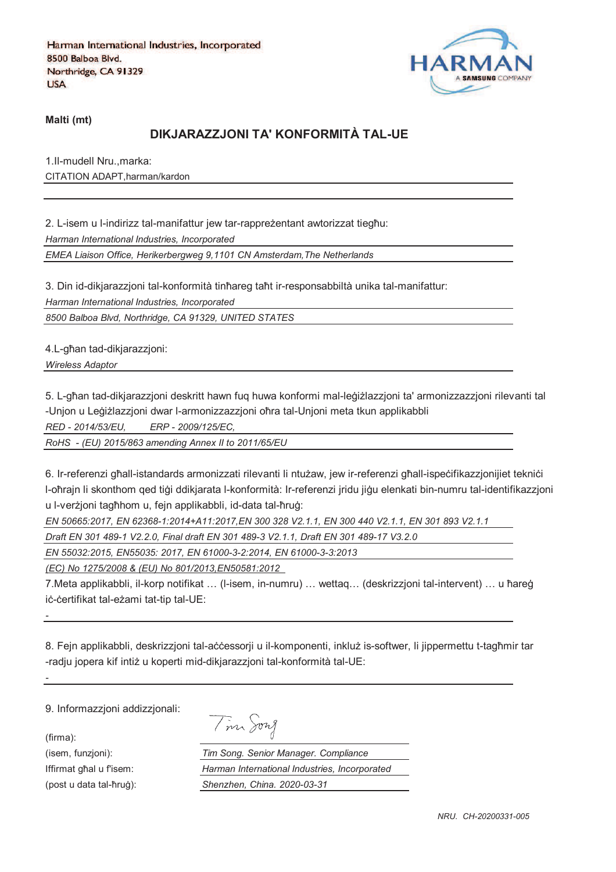

**Malti (mt)**

## **DIKJARAZZJONI TA' KONFORMITÀ TAL-UE**

1.Il-mudell Nru.,marka: CITATION ADAPT,harman/kardon

2. L-isem u l-indirizz tal-manifattur jew tar-rappreżentant awtorizzat tiegħu: *Harman International Industries, Incorporated*

*EMEA Liaison Office, Herikerbergweg 9,1101 CN Amsterdam,The Netherlands*

3. Din id-dikjarazzjoni tal-konformità tinħareg taħt ir-responsabbiltà unika tal-manifattur:

*Harman International Industries, Incorporated*

*8500 Balboa Blvd, Northridge, CA 91329, UNITED STATES*

4.L-ghan tad-dikjarazzjoni:

*Wireless Adaptor* 

5. L-għan tad-dikiarazzioni deskritt hawn fug huwa konformi mal-leġiżlazzioni ta' armonizzazzioni rilevanti tal -Unjon u Leģiżlazzjoni dwar l-armonizzazzjoni oħra tal-Unjoni meta tkun applikabbli

*RED - 2014/53/EU, ERP - 2009/125/EC,*

*RoHS - (EU) 2015/863 amending Annex II to 2011/65/EU*

6. Ir-referenzi ghall-istandards armonizzati rilevanti li ntużaw, jew ir-referenzi ghall-ispecifikazzjonijiet teknici l-oħrajn li skonthom qed tiģi ddikjarata l-konformità: Ir-referenzi jridu jiġu elenkati bin-numru tal-identifikazzjoni u l-verzioni taghhom u, fein applikabbli, id-data tal-hrug:

*EN 50665:2017, EN 62368-1:2014+A11:2017,EN 300 328 V2.1.1, EN 300 440 V2.1.1, EN 301 893 V2.1.1* 

*Draft EN 301 489-1 V2.2.0, Final draft EN 301 489-3 V2.1.1, Draft EN 301 489-17 V3.2.0*

*EN 55032:2015, EN55035: 2017, EN 61000-3-2:2014, EN 61000-3-3:2013*

*(EC) No 1275/2008 & (EU) No 801/2013,EN50581:2012* 

7.Meta applikabbli, il-korp notifikat ... (I-isem, in-numru) ... wettaq... (deskrizzjoni tal-intervent) ... u ħareġ iċ-ċertifikat tal-eżami tat-tip tal-UE:

8. Fejn applikabbli, deskrizzjoni tal-accessorji u il-komponenti, inkluž is-softwer, li jippermettu t-tagħmir tar -radju jopera kif intiż u koperti mid-dikjarazzjoni tal-konformità tal-UE:

9. Informazzjoni addizzjonali:

(firma):

*-*

*-*

| $\sim$ | 1971 <i>M</i> |
|--------|---------------|
|--------|---------------|

(isem, funzjoni): *Tim Song. Senior Manager. Compliance* Iffirmat ghal u fisem: *Harman International Industries, Incorporated* (post u data tal-qrur): *Shenzhen, China. 2020-03-31*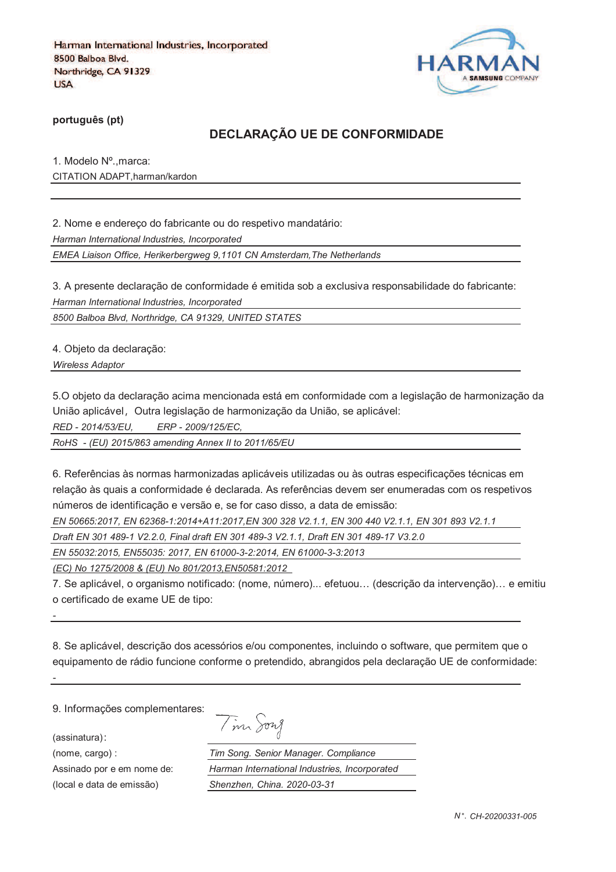

**português (pt)**

### **DECLARAÇÃO UE DE CONFORMIDADE**

1. Modelo Nº.,marca: CITATION ADAPT,harman/kardon

2. Nome e endereço do fabricante ou do respetivo mandatário:

*Harman International Industries, Incorporated*

*EMEA Liaison Office, Herikerbergweg 9,1101 CN Amsterdam,The Netherlands*

3. A presente declaração de conformidade é emitida sob a exclusiva responsabilidade do fabricante: *Harman International Industries, Incorporated*

*8500 Balboa Blvd, Northridge, CA 91329, UNITED STATES*

4. Objeto da declaração:

*Wireless Adaptor* 

5.O objeto da declaração acima mencionada está em conformidade com a legislação de harmonização da União aplicável, Outra legislação de harmonização da União, se aplicável:

*RED - 2014/53/EU, ERP - 2009/125/EC,*

*RoHS - (EU) 2015/863 amending Annex II to 2011/65/EU*

6. Referências às normas harmonizadas aplicáveis utilizadas ou às outras especificações técnicas em relação às quais a conformidade é declarada. As referências devem ser enumeradas com os respetivos números de identificação e versão e, se for caso disso, a data de emissão:

*EN 50665:2017, EN 62368-1:2014+A11:2017,EN 300 328 V2.1.1, EN 300 440 V2.1.1, EN 301 893 V2.1.1* 

*Draft EN 301 489-1 V2.2.0, Final draft EN 301 489-3 V2.1.1, Draft EN 301 489-17 V3.2.0*

*EN 55032:2015, EN55035: 2017, EN 61000-3-2:2014, EN 61000-3-3:2013*

*(EC) No 1275/2008 & (EU) No 801/2013,EN50581:2012* 

7. Se aplicável, o organismo notificado: (nome, número)... efetuou… (descrição da intervenção)… e emitiu o certificado de exame UE de tipo:

8. Se aplicável, descrição dos acessórios e/ou componentes, incluindo o software, que permitem que o equipamento de rádio funcione conforme o pretendido, abrangidos pela declaração UE de conformidade:

9. Informações complementares:

(assinatura)

*-*

*-*

| 1971 A |
|--------|
|--------|

(nome, cargo) : *Tim Song. Senior Manager. Compliance* Assinado por e em nome de: *Harman International Industries, Incorporated* (local e data de emissão) *Shenzhen, China. 2020-03-31*